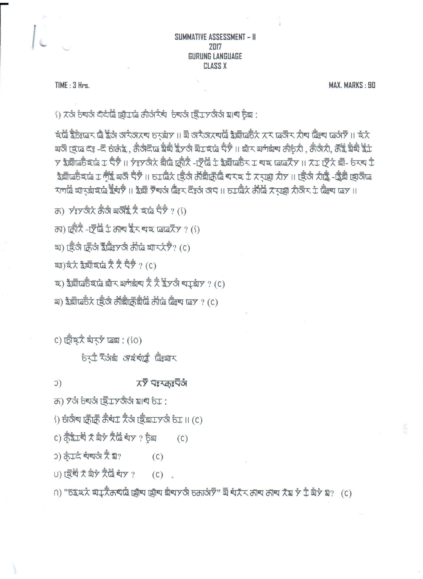**SUMMATIVE ASSESSMENT - 11 2017 GURUNG LANGUAGE l::LASS X**

*I*

**TIME: 3 Hrs. MAX. MARKS: SO**

ं) ⊼जै ठेबजै यैदीपै बाँपर्फ काँजैर्रबै देबजै । ब्रिजिजैजै बाब हैब्र :

 $\frac{1}{2}$ মটি ব্ৰীটঃডিম টে ম্ট্ৰিস কৰা কৰি আৰু সংগ্ৰাস আৰু সংগ্ৰাসী কৰা আৰু সংগ্ৰাসী স্থায় কৰা আৰু সংগ্ৰাসী দি बजॆ ছেদ্ভ বঃ -दॆ চাঁকাঁঽ, ক্ৰীতাঁবী্দ্ভ য়ীহী হীসতাঁ ৱীটা হাজ ঘীৰ্ণ বাঁত ৰাজয়ীৰ কাঁচুঁবা , কীতাঁবা, কীঁই য়ীহী হীট  $\vec{X}$  ইব্ৰীড্চিহৰ্ড  $L$  দ্বীস্থী ।।  $\vec{Y}$ gyসঁ $\vec{X}$  ব্ৰীড্ৰাড্ৰী - ট্ৰেডী য় ইব্ৰীড্চিক  $L$  ৰাম্ ডেক্ট যে ব্য  $\frac{1}{4}$ ইয়াড়ি মড়ি মন্ত্ৰী মন্ত্ৰী দি চাৰ্টি, বাৰ্টি দি বাৰ্টি বিদি বাৰ্ট বিদ্যাল বাৰ্টি কৰি বাৰ্টি - ব্ৰিয়ী ছোনীড য় তে এই বাৰ্ট বিপ্পাল কৰা বিপ্পাল দিব পৰি বিপ্পাল দিব বিপ্পাল দিব বিপ্পাল দিব প্ৰতি দিব প্ৰতি দিব প

ক)  $\vec{y}_3\vec{y}$ সতাঁ $\vec{x}$  ন্লীয় নীমীয় নীমীয় ( $\vec{y}_3$  ) ( $\vec{y}_3$ 

mT) <sup>~</sup> -~:t ~~ ~ U9:u0i:Y ? (s)

ম) ছেঁতাঁ ক্ৰিতাঁ ইুৰ্ল্ল্যুপতাঁ ক্ৰীৰ্ড <mark>মাখ্যকৈ</mark>? (c)

য়া)ঽ৾ $\dot{\chi}$  য়ুঁয়ীহূূূঁ হ ঁ বুঁ আঁ ?  $\left( \mathsf{C}\right)$ 

হ) ঠ্যুয়াঁড্ৰেট হাৰ্ড ৱাঁম মৰ্লিৱাৰ্থ স $\bar{\bar{z}}$  স্থিত হৈ অনুষ্ঠা $\bar{z}$  ? (c)

a) **হঁ**ৱ্ৰীড্ৰটি ছেঁত কীঁৱাট্ৰবাৰী কীৰ্ড ট্ৰেল্ ড্ৰেস ? (c)

c) फ्रूँ हैं बैर्*रं प्लड़ा* : (50)

চি<u>ং</u>ট হিঁসাঁৱ *অৰ্ষপাৰ্ত্ত জি*য়োম

*J)*

## **⊼ঈ বঃস্কঃবঁতাঁ**

 $\pi$ ) সতাঁ চঁথতাঁ ছিত্ৰসতাঁতা য়াৰ্থ চঁত :

 $\mathcal{S}$ ) চাঁতীয ট্ৰীট্ৰী ক্ৰীষ্মী স্ক্ৰীয়ে স্ক্ৰী চি $\mathcal{I} \amalg \mathcal{S}(\mathcal{C})$ 

c) क्रुँडेए चैं  $\bar{\tilde{\chi}}$  बैं $\gamma$   $\bar{\tilde{\chi}}$ ी बैंथ $\gamma$  ? हुँडा $\qquad$  (c)

*J)~~\*~?* (c)

 $U)$  । हिंदी  $\stackrel{*}{\chi}$  हैं। हैं, हैं, हैं, हैं, हैं, हैं,  $\stackrel{?}{\chi}$  (C)

n) "চম্ভ্ৰহ্ন অনুৰ্টকৰ্ষজ ৰোঁৰ ৰোঁৰ বাঁৰসতাঁ চকাৰ্তাৰ্ট" নাঁ ৰাঁঠ্য কাৰ কাৰ ঠাঁম স্বি আঁস য় $\gamma$  (c)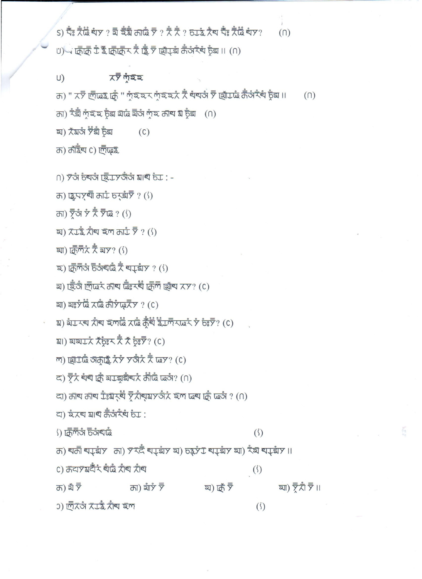s) <del>ফ</del>៊ឺঃ हैं ढ़ि थै़y ? ब्रै ब्रैंब्रै कार्ढ ঈ ? हैं हैं ? ह्यई तैंथ फैं: त्रैंढ़ि थैy 0) - क्रांक्व पे ड्रैं क्वाँक्वर प्रैं प्रैं प्र बॉप्डें कैंअँरैंथ हैब्र II (n) (n)

**u) ⊼⊽ শ্রহ** 

ক) "  $\bar{\chi}$ ই লি্ডিয়ে ট্ৰেঁ " প্ৰেম্ব মুক্ মুক্ মুক্ মুক্ মুক্ মুক্তি দি বুঁড়া বিটা (n)

না) ইৱী লৃগ হয় টুৱা মাত্ৰ মৰ্ত্য লৃগ কাৰ্য য় টুৱা (∩)

ম)  $\tt \tilde{\vec{z}}$ য়তা  $\frac{1}{2}\mathbf{\tilde{z}}$  (c)

ক) কাঁইঁথ $\,$  C) ল্যেঁড়েই

 $\bigcap$   $\overline{y}$ ै के पुरुष प्रति के स्वाद्य  $\overline{z}$ : -

ক) দ্ভ্ৰদস্<sup>ৱা</sup> কাৰ্ট চৰ্য়েঁস ? (S)

ਨा) স্টুঁঅ  $\gamma$  স্টুঁ স্টুঁ  $\overline{\nabla}$ ট্রে ?  $(5)$ 

ম)  $\overline{X}$ ু মাঁথ ইল কাৰ্ট  $\overline{\overline{Y}}$  ? (i)

মা) ট্ৰেলী $\hat{\bar{\pi}}$  নী মস?  $(\mathfrak{h})$ 

 $\overline{z}$ ) ক্ৰিঁলিস টিসৰাজী কী অ্যান্নীস ? (S)

a) ছেঁতাঁ ল্যু্দ্ৰেং কাব্য ট্ৰেং ই ট্ৰেলী ছাঁৰ্য  $\overline{XY}$ ? (C)

 $\overline{a}$ ) মঃ $\dot{\tilde{y}}$ ৰ্ট্কে মেৰ্ট্ কাঁ $\dot{\tilde{y}}$ ডু $\overline{\tilde{X}}$ স ? (C)

 $\tilde{a}$ )  $\tilde{a}$  $\tilde{a}$ रण  $\tilde{a}$  हैं कर्जर  $\tilde{a}$  ,  $\tilde{b}$   $\tilde{c}$   $\tilde{d}$   $\tilde{c}$   $\tilde{d}$   $\tilde{c}$   $\tilde{d}$   $\tilde{c}$   $\tilde{d}$   $\tilde{c}$   $\tilde{d}$   $\tilde{c}$   $\tilde{c}$   $\tilde{c}$   $\tilde{c}$   $\tilde{c}$   $\tilde{c}$   $\tilde{c}$ 

 $\overline{a}$ ll) वावार्यर रैं हैं हैं रैं हैं हर्ज्य (C)

ল) আূ $\vec{L}$ ট্ম তাক্রাহ্রঁ  $\vec{\lambda}$ ንঁ সতাঁ $\vec{\lambda}$  ই ডিস $?$  (C)

 $\vec{z}$  ,  $\vec{z}$  , जिल्लैं की बेयड़ाइँ वर् $\vec{x}$  की लिल्लि (n)

বা) কাব্য কাব্য ট $\frac{1}{2}$ য়েন্ই সূঁ বাঁৰ্য়সতাঁ $\chi$  ইল দ্ৰেয় (টু দ্ৰিতা ? (n)

ব) হঁ $\chi$ ব য়াব ক্ৰীঁসঁকে চঁ $\mathbb J$  :

 $\overline{S}$ ) ক্ৰিন্দিক চিতাৰ্ঘাৰ্ট (S)  $\overline{S}$ 

ਨ) থক্য ব্যুৱস কা) সম্মই ব্যুৱস ম) চয়্সয ব্যুৱস মা) মাম ব্যুৱস ।।

C) ক্ৰয়স্মৱ নাঁই ঘঁটি বাঁৰ বাঁৰ

 $\sigma$ )  $\frac{1}{2}$  $\frac{1}{2}$  $\sigma$   $\frac{1}{2}$  $\frac{1}{2}$  $\frac{1}{2}$  $\frac{1}{2}$  $\frac{1}{2}$  $\frac{1}{2}$  $\frac{1}{2}$  $\frac{1}{2}$  $\frac{1}{2}$ **মা) 7 x 7** ll ম) ঢ়েঁ  $\bar{\bar{z}}$ 

 $D)$  দ্ৰ্দ্ৰিয়ে যাঁৱ মাঁৰা ছাল

 $(5)$ 

 $(5)$